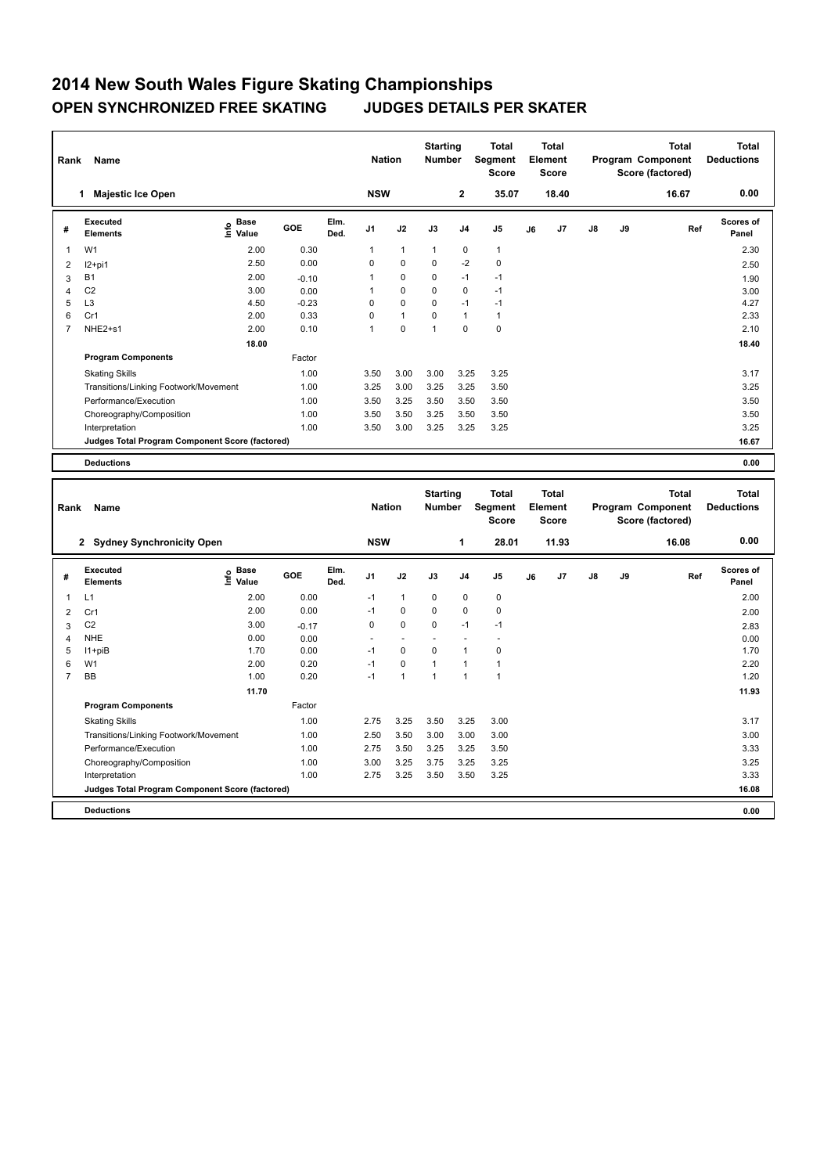## **2014 New South Wales Figure Skating Championships OPEN SYNCHRONIZED FREE SKATING JUDGES DETAILS PER SKATER**

| Rank           | Name                                            |                                    |         |              | <b>Nation</b>  |              | <b>Starting</b><br><b>Number</b> |                | <b>Total</b><br>Segment<br><b>Score</b> |    | <b>Total</b><br>Element<br><b>Score</b> |               |    | <b>Total</b><br>Program Component<br>Score (factored) | <b>Total</b><br><b>Deductions</b> |
|----------------|-------------------------------------------------|------------------------------------|---------|--------------|----------------|--------------|----------------------------------|----------------|-----------------------------------------|----|-----------------------------------------|---------------|----|-------------------------------------------------------|-----------------------------------|
|                | <b>Majestic Ice Open</b>                        |                                    |         |              | <b>NSW</b>     |              |                                  | $\mathbf{2}$   | 35.07                                   |    | 18.40                                   |               |    | 16.67                                                 | 0.00                              |
| #              | Executed<br><b>Elements</b>                     | <b>Base</b><br>$\frac{6}{5}$ Value | GOE     | Elm.<br>Ded. | J <sub>1</sub> | J2           | J3                               | J <sub>4</sub> | J5                                      | J6 | J7                                      | $\mathsf{J}8$ | J9 | Ref                                                   | <b>Scores of</b><br>Panel         |
| 1              | W <sub>1</sub>                                  | 2.00                               | 0.30    |              | 1              | $\mathbf{1}$ | $\mathbf{1}$                     | $\pmb{0}$      | $\mathbf{1}$                            |    |                                         |               |    |                                                       | 2.30                              |
| 2              | $12+pi1$                                        | 2.50                               | 0.00    |              | 0              | $\mathbf 0$  | $\Omega$                         | $-2$           | $\mathbf 0$                             |    |                                         |               |    |                                                       | 2.50                              |
| 3              | <b>B1</b>                                       | 2.00                               | $-0.10$ |              | 1              | $\mathbf 0$  | 0                                | $-1$           | $-1$                                    |    |                                         |               |    |                                                       | 1.90                              |
| 4              | C <sub>2</sub>                                  | 3.00                               | 0.00    |              | 1              | $\mathbf 0$  | 0                                | $\mathbf 0$    | $-1$                                    |    |                                         |               |    |                                                       | 3.00                              |
| 5              | L <sub>3</sub>                                  | 4.50                               | $-0.23$ |              | 0              | $\mathbf 0$  | $\Omega$                         | $-1$           | $-1$                                    |    |                                         |               |    |                                                       | 4.27                              |
| 6              | Cr1                                             | 2.00                               | 0.33    |              | 0              | $\mathbf{1}$ | $\mathbf 0$                      | $\mathbf{1}$   | $\mathbf{1}$                            |    |                                         |               |    |                                                       | 2.33                              |
| $\overline{7}$ | NHE2+s1                                         | 2.00                               | 0.10    |              | 1              | $\mathbf 0$  | $\overline{1}$                   | $\mathbf 0$    | $\mathbf 0$                             |    |                                         |               |    |                                                       | 2.10                              |
|                |                                                 | 18.00                              |         |              |                |              |                                  |                |                                         |    |                                         |               |    |                                                       | 18.40                             |
|                | <b>Program Components</b>                       |                                    | Factor  |              |                |              |                                  |                |                                         |    |                                         |               |    |                                                       |                                   |
|                | <b>Skating Skills</b>                           |                                    | 1.00    |              | 3.50           | 3.00         | 3.00                             | 3.25           | 3.25                                    |    |                                         |               |    |                                                       | 3.17                              |
|                | Transitions/Linking Footwork/Movement           |                                    | 1.00    |              | 3.25           | 3.00         | 3.25                             | 3.25           | 3.50                                    |    |                                         |               |    |                                                       | 3.25                              |
|                | Performance/Execution                           |                                    | 1.00    |              | 3.50           | 3.25         | 3.50                             | 3.50           | 3.50                                    |    |                                         |               |    |                                                       | 3.50                              |
|                | Choreography/Composition                        |                                    | 1.00    |              | 3.50           | 3.50         | 3.25                             | 3.50           | 3.50                                    |    |                                         |               |    |                                                       | 3.50                              |
|                | Interpretation                                  |                                    | 1.00    |              | 3.50           | 3.00         | 3.25                             | 3.25           | 3.25                                    |    |                                         |               |    |                                                       | 3.25                              |
|                | Judges Total Program Component Score (factored) |                                    |         |              |                |              |                                  |                |                                         |    |                                         |               |    |                                                       | 16.67                             |
|                | <b>Deductions</b>                               |                                    |         |              |                |              |                                  |                |                                         |    |                                         |               |    |                                                       | 0.00                              |
|                |                                                 |                                    |         |              |                |              | <b>Starting</b>                  |                | <b>Total</b>                            |    | <b>Total</b>                            |               |    | <b>Total</b>                                          | <b>Total</b>                      |

| Rank           | Name                                            |                            |         |              | <b>Nation</b>            |                          | Starting<br><b>Number</b> |                | ιοται<br>Segment<br><b>Score</b> |    | ιοται<br>Element<br><b>Score</b> |               |    | ιοται<br>Program Component<br>Score (factored) | Total<br><b>Deductions</b> |
|----------------|-------------------------------------------------|----------------------------|---------|--------------|--------------------------|--------------------------|---------------------------|----------------|----------------------------------|----|----------------------------------|---------------|----|------------------------------------------------|----------------------------|
|                | 2 Sydney Synchronicity Open                     |                            |         |              | <b>NSW</b>               |                          |                           | 1              | 28.01                            |    | 11.93                            |               |    | 16.08                                          | 0.00                       |
| #              | Executed<br><b>Elements</b>                     | <b>Base</b><br>١m<br>Value | GOE     | Elm.<br>Ded. | J <sub>1</sub>           | J2                       | J3                        | J <sub>4</sub> | J <sub>5</sub>                   | J6 | J <sub>7</sub>                   | $\mathsf{J}8$ | J9 | Ref                                            | <b>Scores of</b><br>Panel  |
| 1              | L1                                              | 2.00                       | 0.00    |              | $-1$                     | $\mathbf{1}$             | 0                         | 0              | $\pmb{0}$                        |    |                                  |               |    |                                                | 2.00                       |
| 2              | Cr1                                             | 2.00                       | 0.00    |              | $-1$                     | 0                        | 0                         | $\mathbf 0$    | $\pmb{0}$                        |    |                                  |               |    |                                                | 2.00                       |
| 3              | C <sub>2</sub>                                  | 3.00                       | $-0.17$ |              | 0                        | $\mathbf 0$              | $\mathbf 0$               | $-1$           | $-1$                             |    |                                  |               |    |                                                | 2.83                       |
| 4              | <b>NHE</b>                                      | 0.00                       | 0.00    |              | $\overline{\phantom{a}}$ | $\overline{\phantom{a}}$ |                           |                | ٠                                |    |                                  |               |    |                                                | 0.00                       |
| 5              | $11 + piB$                                      | 1.70                       | 0.00    |              | $-1$                     | 0                        | 0                         | 1              | 0                                |    |                                  |               |    |                                                | 1.70                       |
| 6              | W <sub>1</sub>                                  | 2.00                       | 0.20    |              | $-1$                     | $\mathbf 0$              | $\overline{1}$            | 1              |                                  |    |                                  |               |    |                                                | 2.20                       |
| $\overline{7}$ | <b>BB</b>                                       | 1.00                       | 0.20    |              | $-1$                     | 1                        | 1                         | 1              | 1                                |    |                                  |               |    |                                                | 1.20                       |
|                |                                                 | 11.70                      |         |              |                          |                          |                           |                |                                  |    |                                  |               |    |                                                | 11.93                      |
|                | <b>Program Components</b>                       |                            | Factor  |              |                          |                          |                           |                |                                  |    |                                  |               |    |                                                |                            |
|                | <b>Skating Skills</b>                           |                            | 1.00    |              | 2.75                     | 3.25                     | 3.50                      | 3.25           | 3.00                             |    |                                  |               |    |                                                | 3.17                       |
|                | Transitions/Linking Footwork/Movement           |                            | 1.00    |              | 2.50                     | 3.50                     | 3.00                      | 3.00           | 3.00                             |    |                                  |               |    |                                                | 3.00                       |
|                | Performance/Execution                           |                            | 1.00    |              | 2.75                     | 3.50                     | 3.25                      | 3.25           | 3.50                             |    |                                  |               |    |                                                | 3.33                       |
|                | Choreography/Composition                        |                            | 1.00    |              | 3.00                     | 3.25                     | 3.75                      | 3.25           | 3.25                             |    |                                  |               |    |                                                | 3.25                       |
|                | Interpretation                                  |                            | 1.00    |              | 2.75                     | 3.25                     | 3.50                      | 3.50           | 3.25                             |    |                                  |               |    |                                                | 3.33                       |
|                | Judges Total Program Component Score (factored) |                            |         |              |                          |                          |                           |                |                                  |    |                                  |               |    |                                                | 16.08                      |
|                | <b>Deductions</b>                               |                            |         |              |                          |                          |                           |                |                                  |    |                                  |               |    |                                                | 0.00                       |